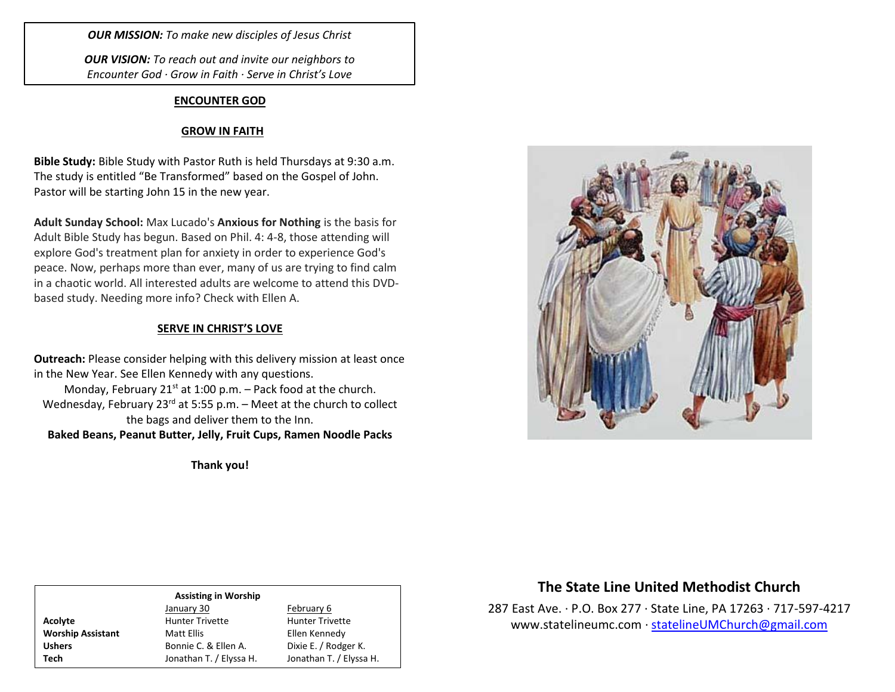*OUR MISSION: To make new disciples of Jesus Christ*

*OUR VISION: To reach out and invite our neighbors to Encounter God · Grow in Faith · Serve in Christ's Love*

### **ENCOUNTER GOD**

### **GROW IN FAITH**

**Bible Study:** Bible Study with Pastor Ruth is held Thursdays at 9:30 a.m. The study is entitled "Be Transformed" based on the Gospel of John. Pastor will be starting John 15 in the new year.

**Adult Sunday School:** Max Lucado's **Anxious for Nothing** is the basis for Adult Bible Study has begun. Based on Phil. 4: 4-8, those attending will explore God's treatment plan for anxiety in order to experience God's peace. Now, perhaps more than ever, many of us are trying to find calm in a chaotic world. All interested adults are welcome to attend this DVDbased study. Needing more info? Check with Ellen A.

### **SERVE IN CHRIST'S LOVE**

**Outreach:** Please consider helping with this delivery mission at least once in the New Year. See Ellen Kennedy with any questions.

Monday, February 21 $st$  at 1:00 p.m. – Pack food at the church. Wednesday, February 23<sup>rd</sup> at 5:55 p.m. – Meet at the church to collect the bags and deliver them to the Inn. **Baked Beans, Peanut Butter, Jelly, Fruit Cups, Ramen Noodle Packs**

**Thank you!**



### **Assisting in Worship** January 30 February 6 Acolyte **Acolyte** Hunter Trivette **Hunter Trivette Worship Assistant** Matt Ellis **Matt Ellis** Ellen Kennedy Ushers Bonnie C. & Ellen A. Dixie E. / Rodger K. **Tech** Jonathan T. / Elyssa H. Jonathan T. / Elyssa H.

# **The State Line United Methodist Church**

287 East Ave. · P.O. Box 277 · State Line, PA 17263 · 717-597-4217 [www.statelineumc.com](http://www.statelineumc.com/) · [statelineUMChurch@gmail.com](mailto:statelineUMChurch@gmail.com)